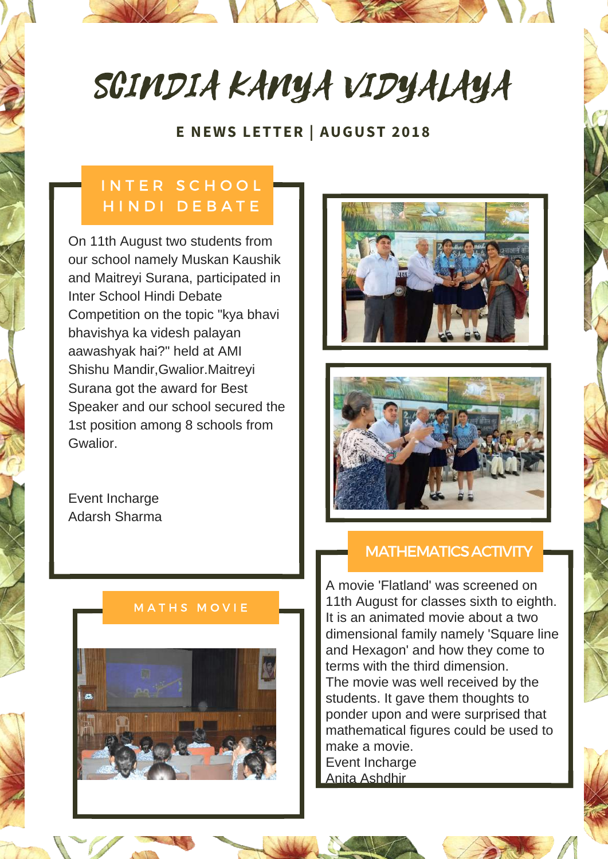# SCINDIA KANYA VIDYALAYA

## **E NEWS LETTER | AUGUST 2018**

# INTER SCHOOL H I N D I D E B A T E

On 11th August two students from our school namely Muskan Kaushik and Maitreyi Surana, participated in Inter School Hindi Debate Competition on the topic "kya bhavi bhavishya ka videsh palayan aawashyak hai?" held at AMI Shishu Mandir,Gwalior.Maitreyi Surana got the award for Best Speaker and our school secured the 1st position among 8 schools from Gwalior.

Event Incharge Adarsh Sharma

#### **MATHS MOVIE**







#### MATHEMATICS ACTIVITY

A movie 'Flatland' was screened on 11th August for classes sixth to eighth. It is an animated movie about a two dimensional family namely 'Square line and Hexagon' and how they come to terms with the third dimension. The movie was well received by the students. It gave them thoughts to ponder upon and were surprised that mathematical figures could be used to make a movie. Event Incharge Anita Ashdhir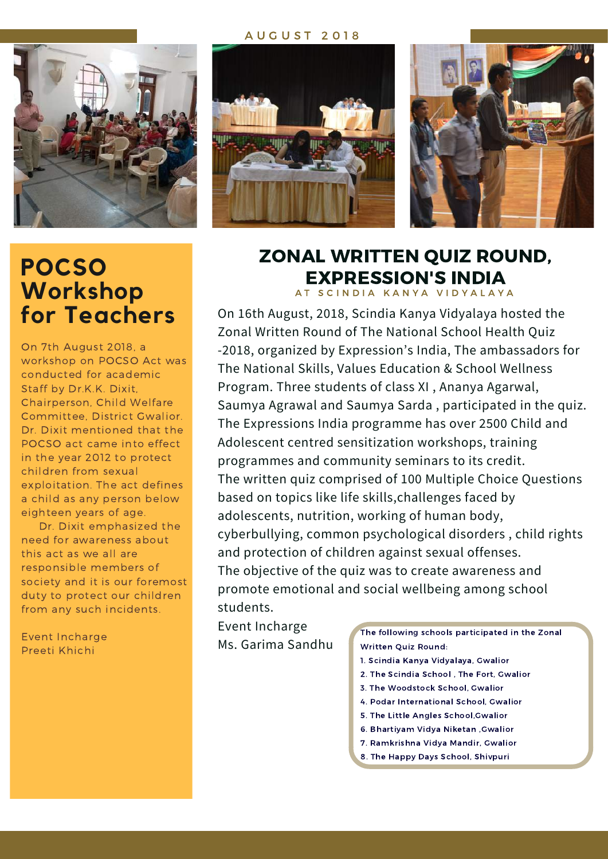#### A U G U S T 2 0 1 8



# **POCSO Workshop for Teachers**

On 7th August 2018, a workshop on POCSO Act was conducted for academic Staff by Dr.K.K. Dixit, Chairperson, Child Welfare Committee, District Gwalior. Dr. Dixit mentioned that the POCSO act came into effect in the year 2012 to protect children from sexual exploitation. The act defines a child as any person below eighteen years of age.

Dr. Dixit emphasized the need for awareness about this act as we all are responsible members of society and it is our foremost duty to protect our children from any such incidents.

Event Incharge Preeti Khichi





# ZONAL WRITTEN QUIZ ROUND, EXPRESSION'S INDIA

AT SCINDIA KANYA VIDYALAYA

On 16th August, 2018, Scindia Kanya Vidyalaya hosted the Zonal Written Round of The National School Health Quiz -2018, organized by Expression's India, The ambassadors for The National Skills, Values Education & School Wellness Program. Three students of class XI , Ananya Agarwal, Saumya Agrawal and Saumya Sarda , participated in the quiz. The Expressions India programme has over 2500 Child and Adolescent centred sensitization workshops, training programmes and community seminars to its credit. The written quiz comprised of 100 Multiple Choice Questions based on topics like life skills,challenges faced by adolescents, nutrition, working of human body, cyberbullying, common psychological disorders , child rights and protection of children against sexual offenses. The objective of the quiz was to create awareness and promote emotional and social wellbeing among school students.

Event Incharge Ms. Garima Sandhu

The following schools participated in the Zonal Written Quiz Round:

- 1. Scindia Kanya Vidyalaya, Gwalior
- 2. The Scindia School , The Fort, Gwalior
- 3. The Woodstock School, Gwalior
- 4. Podar International School, Gwalior
- 5. The Little Angles School,Gwalior
- 6. Bhartiyam Vidya Niketan ,Gwalior
- 7. Ramkrishna Vidya Mandir, Gwalior
- 8. The Happy Days School, Shivpuri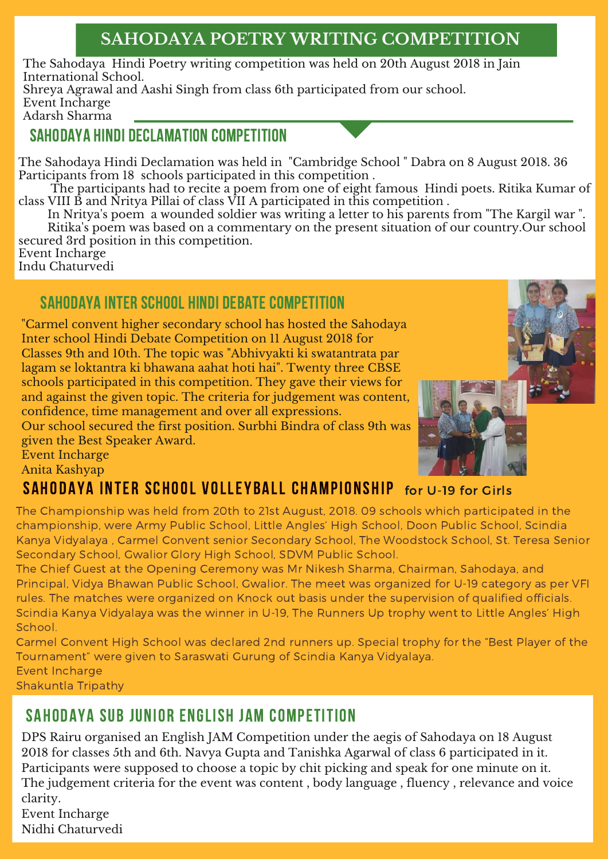# **SAHODAYA POETRY WRITING COMPETITION**

The Sahodaya Hindi Poetry writing competition was held on 20th August 2018 in Jain International School.

Shreya Agrawal and Aashi Singh from class 6th participated from our school. Event Incharge

Adarsh Sharma

## SAHODAYA HINDI DECLAMATION COMPETITION

The Sahodaya Hindi Declamation was held in "Cambridge School " Dabra on 8 August 2018. 36 Participants from 18 schools participated in this competition .

The participants had to recite a poem from one of eight famous Hindi poets. Ritika Kumar of class VIII B and Nritya Pillai of class VII A participated in this competition .

In Nritya's poem a wounded soldier was writing a letter to his parents from "The Kargil war ". Ritika's poem was based on a commentary on the present situation of our country.Our school secured 3rd position in this competition.

Event Incharge Indu Chaturvedi

# SAHODAYA INTER SCHOOL HINDI DEBATE COMPETITION

"Carmel convent higher secondary school has hosted the Sahodaya Inter school Hindi Debate Competition on 11 August 2018 for Classes 9th and 10th. The topic was "Abhivyakti ki swatantrata par lagam se loktantra ki bhawana aahat hoti hai". Twenty three CBSE schools participated in this competition. They gave their views for and against the given topic. The criteria for judgement was content, confidence, time management and over all expressions.

Our school secured the first position. Surbhi Bindra of class 9th was given the Best Speaker Award.



# Event Incharge

Anita Kashyap

# Sahodaya Inter School Volleyball Championship for U-19 for Girls

The Championship was held from 20th to 21st August, 2018. 09 schools which participated in the championship, were Army Public School, Little Angles' High School, Doon Public School, Scindia Kanya Vidyalaya , Carmel Convent senior Secondary School, The Woodstock School, St. Teresa Senior Secondary School, Gwalior Glory High School, SDVM Public School.

The Chief Guest at the Opening Ceremony was Mr Nikesh Sharma, Chairman, Sahodaya, and Principal, Vidya Bhawan Public School, Gwalior. The meet was organized for U-19 category as per VFI rules. The matches were organized on Knock out basis under the supervision of qualified officials. Scindia Kanya Vidyalaya was the winner in U-19, The Runners Up trophy went to Little Angles' High School.

Carmel Convent High School was declared 2nd runners up. Special trophy for the "Best Player of the Tournament" were given to Saraswati Gurung of Scindia Kanya Vidyalaya. Event Incharge

Shakuntla Tripathy

## SAHODAYA SUB JUNIOR ENGLISH JAM COMPETITION

DPS Rairu organised an English JAM Competition under the aegis of Sahodaya on 18 August 2018 for classes 5th and 6th. Navya Gupta and Tanishka Agarwal of class 6 participated in it. Participants were supposed to choose a topic by chit picking and speak for one minute on it. The judgement criteria for the event was content , body language , fluency , relevance and voice clarity.

Event Incharge Nidhi Chaturvedi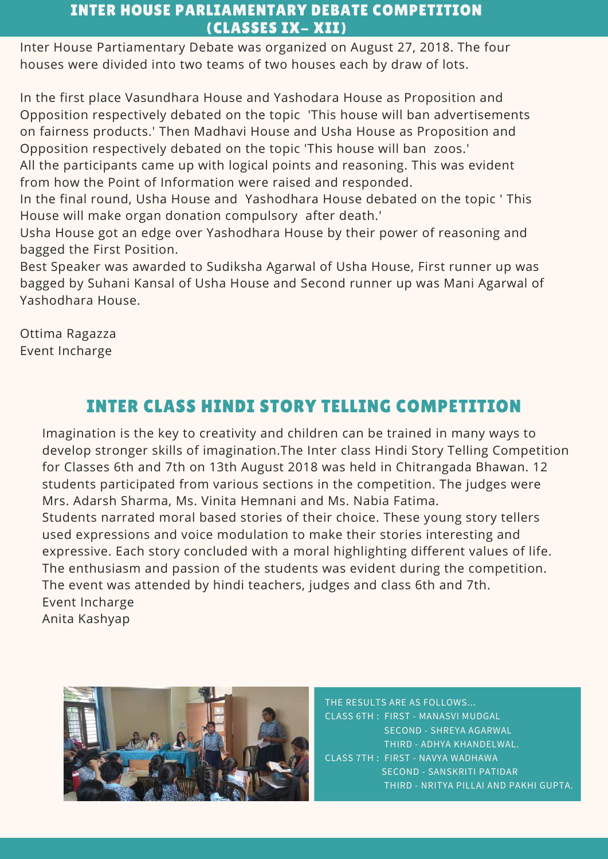### INTER HOUSE PARLIAMENTARY DEBATE COMPETITION (CLASSES IX- XII)

Inter House Partiamentary Debate was organized on August 27, 2018. The four houses were divided into two teams of two houses each by draw of lots.

In the first place Vasundhara House and Yashodara House as Proposition and Opposition respectively debated on the topic 'This house will ban advertisements on fairness products.' Then Madhavi House and Usha House as Proposition and Opposition respectively debated on the topic 'This house will ban zoos.'

All the participants came up with logical points and reasoning. This was evident from how the Point of Information were raised and responded.

In the final round, Usha House and Yashodhara House debated on the topic ' This House will make organ donation compulsory after death.'

Usha House got an edge over Yashodhara House by their power of reasoning and bagged the First Position.

Best Speaker was awarded to Sudiksha Agarwal of Usha House, First runner up was bagged by Suhani Kansal of Usha House and Second runner up was Mani Agarwal of Yashodhara House.

Ottima Ragazza Event Incharge

# INTER CLASS HINDI STORY TELLING COMPETITION

Imagination is the key to creativity and children can be trained in many ways to develop stronger skills of imagination.The Inter class Hindi Story Telling Competition for Classes 6th and 7th on 13th August 2018 was held in Chitrangada Bhawan. 12 students participated from various sections in the competition. The judges were Mrs. Adarsh Sharma, Ms. Vinita Hemnani and Ms. Nabia Fatima. Students narrated moral based stories of their choice. These young story tellers used expressions and voice modulation to make their stories interesting and expressive. Each story concluded with a moral highlighting different values of life. The enthusiasm and passion of the students was evident during the competition. The event was attended by hindi teachers, judges and class 6th and 7th. Event Incharge Anita Kashyap



THE RESULTS ARE AS FOLLOWS... CLASS 6TH : FIRST - MANASVI MUDGAL SECOND - SHREYA AGARWAL THIRD - ADHYA KHANDELWAL. CLASS 7TH : FIRST - NAVYA WADHAWA SECOND - SANSKRITI PATIDAR THIRD - NRITYA PILLAI AND PAKHI GUPTA.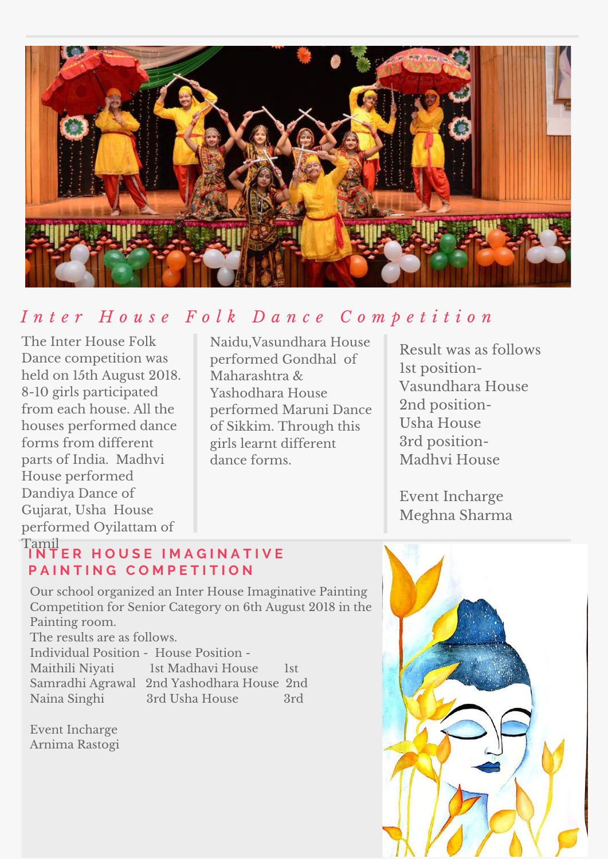

# Inter House Folk Dance Competition

The Inter House Folk Dance competition was held on 15th August 2018. 8-10 girls participated from each house. All the houses performed dance forms from different parts of India. Madhvi House performed Dandiya Dance of Gujarat, Usha House performed Oyilattam of

Naidu,Vasundhara House performed Gondhal of Maharashtra & Yashodhara House performed Maruni Dance of Sikkim. Through this girls learnt different dance forms.

Result was as follows 1st position-Vasundhara House 2nd position-Usha House 3rd position-Madhvi House

Event Incharge Meghna Sharma

#### Tamil **I N T E R H O U S E I M A G I N A T I V E P A I N T I N G C O M P E T I T I O N**

Our school organized an Inter House Imaginative Painting Competition for Senior Category on 6th August 2018 in the Painting room.

The results are as follows.

| Individual Position - House Position - |                   |            |
|----------------------------------------|-------------------|------------|
| Maithili Niyati                        | 1st Madhavi House | <b>lst</b> |

Samradhi Agrawal 2nd Yashodhara House 2nd Naina Singhi 3rd Usha House 3rd

Event Incharge Arnima Rastogi

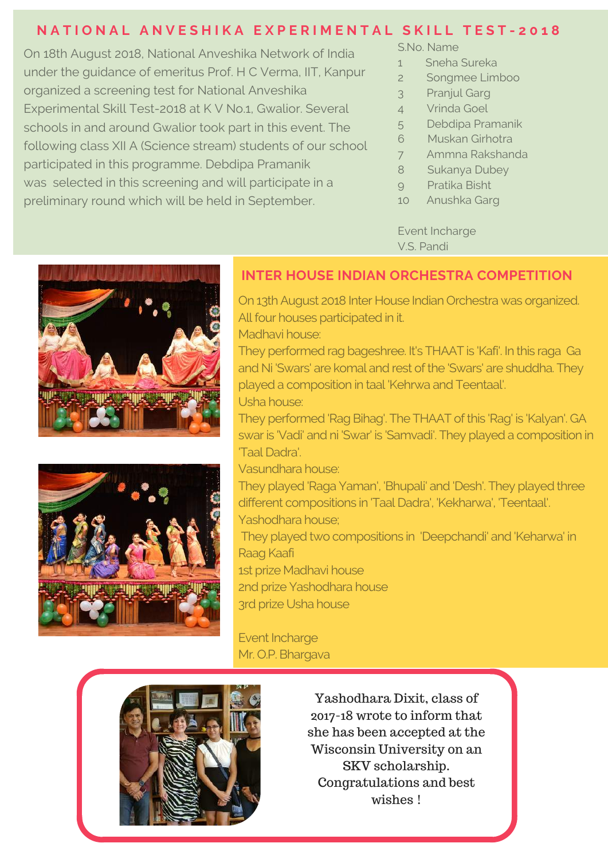## NATIONAL ANVESHIKA EXPERIMENTAL SKILL TEST-2018

participate or maniper system into the competition into the maniper competition of the survey of the Sukanya Dubey<br>was selected in this screening and will participate in a selected in this screening and will participate in On 18th August 2018, National Anveshika Network of India under the guidance of emeritus Prof. H C Verma, IIT, Kanpur organized a screening test for National Anveshika Experimental Skill Test-2018 at K V No.1, Gwalior. Several schools in and around Gwalior took part in this event. The following class XII A (Science stream) students of our school participated in this programme. Debdipa Pramanik preliminary round which will be held in September.

S.No. Name

- 1 Sneha Sureka
- 2 Songmee Limboo
- 3 Pranjul Garg
- 4 Vrinda Goel
- 5 Debdipa Pramanik
- 6 Muskan Girhotra
- 7 Ammna Rakshanda
- 8 Sukanya Dubey
- 9 Pratika Bisht
- 10 Anushka Garg

Event Incharge V.S. Pandi





#### **INTER HOUSE INDIAN ORCHESTRA COMPETITION**

On 13th August 2018 Inter House Indian Orchestra was organized. All four houses participated in it. Madhavi house:

They performed rag bageshree. It's THAAT is 'Kafi'. In this raga Ga and Ni 'Swars' are komal and rest of the 'Swars' are shuddha. They played a composition in taal 'Kehrwa and Teentaal'.

Usha house:

They performed 'Rag Bihag'. The THAAT of this 'Rag' is 'Kalyan'. GA swar is 'Vadi' and ni 'Swar' is 'Samvadi'. They played a composition in 'Taal Dadra'.

Vasundhara house:

They played 'Raga Yaman', 'Bhupali' and 'Desh'. They played three different compositions in 'Taal Dadra', 'Kekharwa', 'Teentaal'. Yashodhara house;

They played two compositions in 'Deepchandi' and 'Keharwa' in Raag Kaafi

1st prize Madhavi house

2nd prize Yashodhara house 3rd prize Usha house

Event Incharge Mr. O.P. Bhargava



Yashodhara Dixit, class of 2017-18 wrote to inform that she has been accepted at the Wisconsin University on an SKV scholarship. Congratulations and best wishes !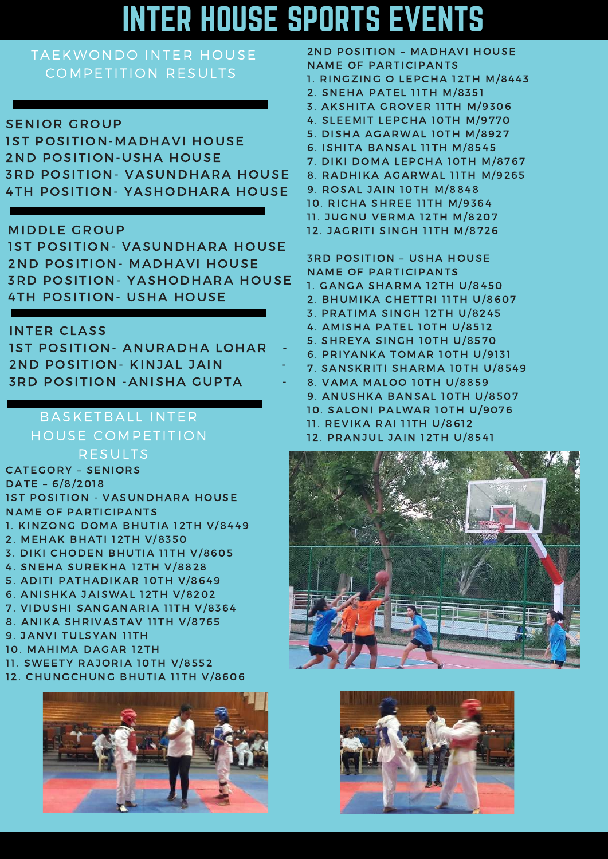# INTER HOUSE SPORTS EVENTS

## TAEKWONDO INTER HOUSE COMPETITION RESULTS

#### SENIOR GROUP

1ST POSITION-MADHAVI HOUSE 2ND POSITION-USHA HOUSE 3RD POSITION- VASUNDHARA HOUSE 4TH POSITION- YASHODHARA HOUSE

#### MIDDLE GROUP

1ST POSITION- VASUNDHARA HOUSE 2ND POSITION- MADHAVI HOUSE 3RD POSITION- YASHODHARA HOUSE 4TH POSITION- USHA HOUSE

#### INTER CLASS

| <b>IST POSITION- ANURADHA LOHAR</b> |  |
|-------------------------------------|--|
| 2ND POSITION - KINJAL JAIN          |  |
| <b>3RD POSITION - ANISHA GUPTA</b>  |  |

## BASKETBALL INTER HOUSE COMPETITION RESULTS

CATEGORY – SENIORS DATE – 6/8/2018 1ST POSITION - VASUNDHARA HOUSE NAME OF PARTICIPANTS 1. KINZONG DOMA BHUTIA 12TH V/8449 2. MEHAK BHATI 12TH V/8350 3. DIKI CHODEN BHUTIA 11TH V/8605 4. SNEHA SUREKHA 12TH V/8828 5. ADITI PATHADIKAR 10TH V/8649 6. ANISHKA JAISWAL 12TH V/8202 7. VIDUSHI SANGANARIA 11TH V/8364 8. ANIKA SHRIVASTAV 11TH V/8765 9. JANVI TULSYAN 11TH 10. MAHIMA DAGAR 12TH 11. SWEETY RAJORIA 10TH V/8552

12. CHUNGCHUNG BHUTIA 11TH V/8606



- 2ND POSITION MADHAVI HOUSE NAME OF PARTICIPANTS 1. RINGZING O LEPCHA 12TH M/8443 2. SNEHA PATEL 11TH M/8351
- 3. AKSHITA GROVER 11TH M/9306
- 4. SLEEMIT LEPCHA 10TH M/9770
- 5. DISHA AGARWAL 10TH M/8927
- 6. ISHITA BANSAL 11TH M/8545
- 7. DIKI DOMA LEPCHA 10TH M/8767
- 8. RADHIKA AGARWAL 11TH M/9265
- 9. ROSAL JAIN 10TH M/8848
- 10. RICHA SHREE 11TH M/9364
- 11. JUGNU VERMA 12TH M/8207
- 12. JAGRITI SINGH 11TH M/8726

3RD POSITION – USHA HOUSE NAME OF PARTICIPANTS 1. GANGA SHARMA 12TH U/8450 2. BHUMIKA CHETTRI 11TH U/8607 3. PRATIMA SINGH 12TH U/8245 4. AMISHA PATEL 10TH U/8512 5. SHREYA SINGH 10TH U/8570 6. PRIYANKA TOMAR 10TH U/9131 7. SANSKRITI SHARMA 10TH U/8549 8. VAMA MALOO 10TH U/8859 9. ANUSHKA BANSAL 10TH U/8507 10. SALONI PALWAR 10TH U/9076 11. REVIKA RAI 11TH U/8612

12. PRANJUL JAIN 12TH U/8541



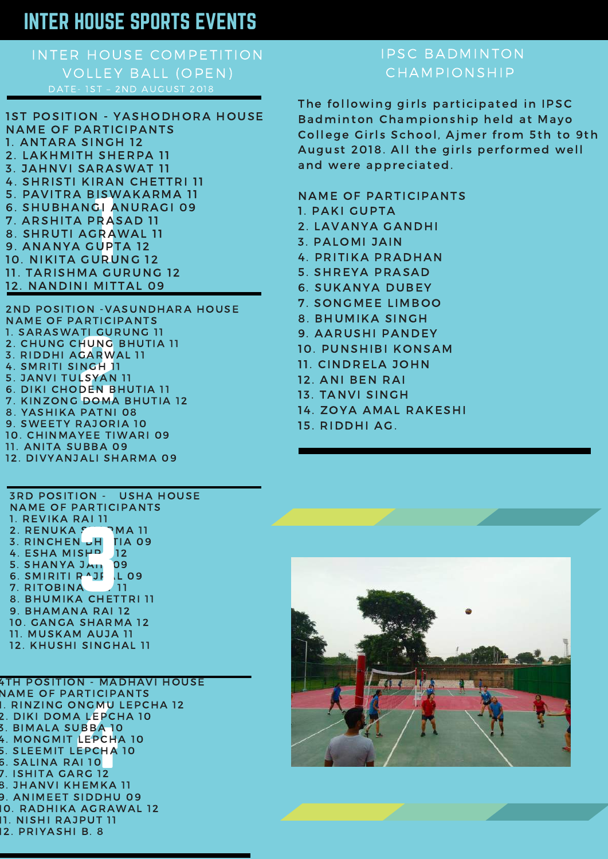# INTER HOUSE SPORTS EVENTS

# INTER HOUSE COMPETITION VOLLEY BALL (OPEN)

SISWA<br>GIAN<br>PRAS<br>SRAW<br>JURUN<br>URUN<br>A GUI 1ST POSITION - YASHODHORA HOUSE NAME OF PARTICIPANTS 1. ANTARA SINGH 12 2. LAKHMITH SHERPA 11 3. JAHNVI SARASWAT 11 4. SHRISTI KIRAN CHETTRI 11 5. PAVITRA BISWAKARMA 11 6. SHUBHANGI ANURAGI 09 7. ARSHITA PRASAD 11 8. SHRUTI AGRAWAL 11 9. ANANYA GUPTA 12 10. NIKITA GURUNG 12 11. TARISHMA GURUNG 12 12. NANDINI MITTAL 09

HUNG BH<br>CARWAL<br>INGH 11<br>LSYAN 11<br>DEN BH<br>DOMA B<br>PATNI 0 2ND POSITION -VASUNDHARA HOUSE NAME OF PARTICIPANTS 1. SARASWATI GURUNG 11 2. CHUNG CHUNG BHUTIA 11 3. RIDDHI AGARWAL 11 4. SMRITI SINGH 11 5. JANVI TULSYAN 11 6. DIKI CHODEN BHUTIA 11 7. KINZONG DOMA BHUTIA 12 8. YASHIKA PATNI 08 9. SWEETY RAJORIA 10 10. CHINMAYEE TIWARI 09

- 11. ANITA SUBBA 09
- 12. DIVYANJALI SHARMA 09

3RD POSITION - USHA HOUSE NAME OF PARTICIPANTS 1. REVIKA RAI 11 2. RENUKA  $S$  - PMA 11 3. RINCHEN JH TIA 09 4. ESHA MISHP 12 5. SHANYA JAIN 09 6. SMIRITI RAJI LO9 7. RITOBINA 11 2. RENUKA CHETNA 11<br>3. RINCHEN JHETTA 09<br>4. ESHA MISHP 12<br>5. SHANYA JAN 09<br>6. SMIRITI R^JI (LO9<br>7. RITOBINA - 211<br>8. BHUMIKA CHETTRI 11 9. BHAMANA RAI 12 10. GANGA SHARMA 12 11. MUSKAM AUJA 11

12. KHUSHI SINGHAL 11

) NGMU LEI<br>A LEPCHA<br>UBBA 10<br>LEPCHA 10<br>AI 10<br>AI 10<br>RG 12 4TH POSITION - MADHAVI HOUSE NAME OF PARTICIPANTS 1. RINZING ONGMU LEPCHA 12 2. DIKI DOMA LEPCHA 10 3. BIMALA SUBBA 10 4. MONGMIT LEPCHA 10 5. SLEEMIT LEPCHA 10 6. SALINA RAI 10 7. ISHITA GARG 12 8. JHANVI KHEMKA 11 9. ANIMEET SIDDHU 09 10. RADHIKA AGRAWAL 12 11. NISHI RAJPUT 11 12. PRIYASHI B. 8

## IPSC BADMINTON CHAMPIONSHIP

The following girls participated in IPSC Badminton Championship held at Mayo College Girls School, Ajmer from 5th to 9th August 2018. All the girls performed well and were appreciated.

#### NAME OF PARTICIPANTS

- 1. PAKI GUPTA
- 2. LAVANYA GANDHI
- 3. PALOMI JAIN
- 4. PRITIKA PRADHAN
- 5. SHREYA PRASAD
- 6. SUKANYA DUBEY
- 7. SONGMEE LIMBOO
- 8. BHUMIKA SINGH
- 9. AARUSHI PANDEY
- 10. PUNSHIBI KONSAM
- 11. CINDRELA JOHN
- 12. ANI BEN RAI
- 13. TANVI SINGH
- 14. ZOYA AMAL RAKESHI
- 15. RIDDHI AG.

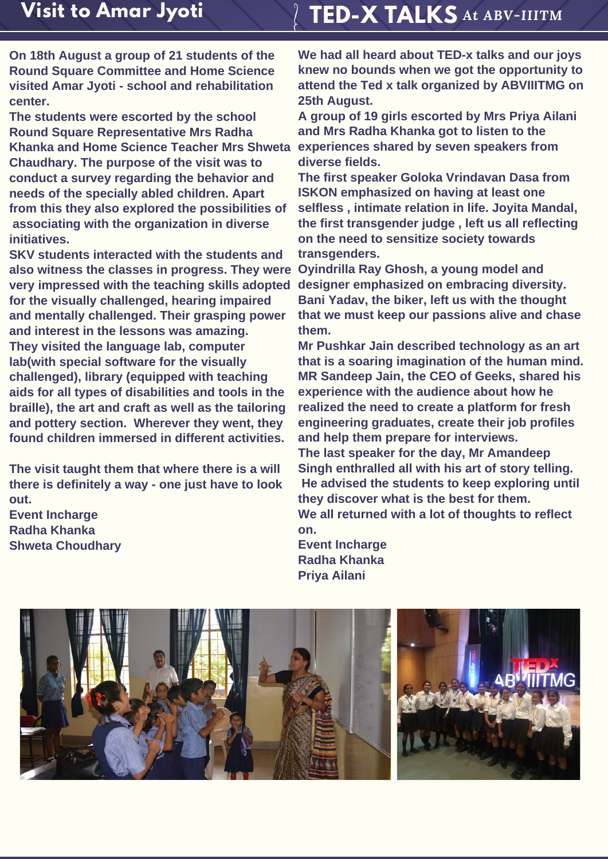# **TED-X TALKS** *At ABV-IIITM*

**On 18th August a group of 21 students of the Round Square Committee and Home Science visited Amar Jyoti - school and rehabilitation center.**

**The students were escorted by the school Round Square Representative Mrs Radha Khanka and Home Science Teacher Mrs Shweta Chaudhary. The purpose of the visit was to conduct a survey regarding the behavior and needs of the specially abled children. Apart from this they also explored the possibilities of associating with the organization in diverse initiatives.**

**SKV students interacted with the students and also witness the classes in progress. They were very impressed with the teaching skills adopted for the visually challenged, hearing impaired and mentally challenged. Their grasping power and interest in the lessons was amazing. They visited the language lab, computer lab(with special software for the visually challenged), library (equipped with teaching aids for all types of disabilities and tools in the braille), the art and craft as well as the tailoring and pottery section. Wherever they went, they found children immersed in different activities.**

**The visit taught them that where there is a will there is definitely a way - one just have to look out. Event Incharge Radha Khanka Shweta Choudhary**

**We had all heard about TED-x talks and our joys knew no bounds when we got the opportunity to attend the Ted x talk organized by ABVIIITMG on 25th August.**

**A group of 19 girls escorted by Mrs Priya Ailani and Mrs Radha Khanka got to listen to the experiences shared by seven speakers from diverse fields.**

**The first speaker Goloka Vrindavan Dasa from ISKON emphasized on having at least one selfless , intimate relation in life. Joyita Mandal, the first transgender judge , left us all reflecting on the need to sensitize society towards transgenders.**

**Oyindrilla Ray Ghosh, a young model and designer emphasized on embracing diversity. Bani Yadav, the biker, left us with the thought that we must keep our passions alive and chase them.**

**Mr Pushkar Jain described technology as an art that is a soaring imagination of the human mind. MR Sandeep Jain, the CEO of Geeks, shared his experience with the audience about how he realized the need to create a platform for fresh engineering graduates, create their job profiles and help them prepare for interviews.**

**The last speaker for the day, Mr Amandeep Singh enthralled all with his art of story telling. He advised the students to keep exploring until they discover what is the best for them. We all returned with a lot of thoughts to reflect on.**

**Event Incharge Radha Khanka Priya Ailani**